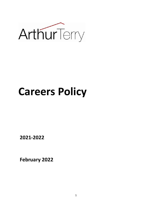

# **Careers Policy**

**2021-2022** 

**February 2022**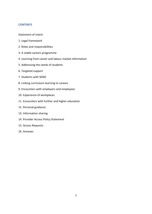#### **CONTENTS**

#### Statement of intent

- 1. Legal framework
- 2. Roles and responsibilities
- 3. A stable careers programme
- 4. Learning from career and labour market information
- 5. Addressing the needs of students
- 6. Targeted support
- 7. Students with SEND
- 8. Linking curriculum learning to careers
- 9. Encounters with employers and employees
- 10. Experience of workplaces
- 11. Encounters with further and higher education
- 12. Personal guidance
- 13. Information sharing
- 14. Provider Access Policy Statement
- 15. Access Requests
- 16. Annexes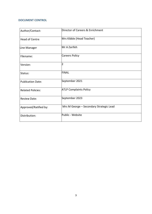#### **DOCUMENT CONTROL**

| Author/Contact:          | Director of Careers & Enrichment        |
|--------------------------|-----------------------------------------|
| <b>Head of Centre</b>    | Mrs Kibble (Head Teacher)               |
| Line Manager             | Mr A Zarifeh                            |
| Filename:                | Careers Policy                          |
| Version:                 | $\overline{2}$                          |
| Status:                  | <b>FINAL</b>                            |
| <b>Publication Date:</b> | September 2021                          |
| <b>Related Policies:</b> | <b>ATLP Complaints Policy</b>           |
| <b>Review Date:</b>      | September 2023                          |
| Approved/Ratified by:    | Mrs M George - Secondary Strategic Lead |
| Distribution:            | Public - Website                        |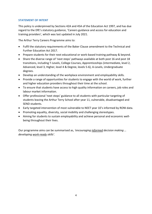# **STATEMENT OF INTENT**

This policy is underpinned by Sections 42A and 45A of the Education Act 1997, and has due regard to the DfE's statutory guidance, 'Careers guidance and access for education and training providers', which was last updated in July 2021.

The Arthur Terry Careers Programme aims to:

- Fulfil the statutory requirements of the Baker Clause amendment to the Technical and Further Education Act 2017.
- Prepare students for their next educational or work-based training pathway & beyond.
- Share the diverse range of 'next steps' pathways available at both post 16 and post 18 transitions, including T-Levels, College Courses, Apprenticeships (intermediate, level 2, Advanced, level 3, Higher, level 4 & Degree, levels 5-6), A-Levels, Undergraduate degrees.
- Develop an understanding of the workplace environment and employability skills.
- Provide a range of opportunities for students to engage with the world of work, further and higher education providers throughout their time at the school.
- To ensure that students have access to high quality information on careers, job roles and labour market information.
- Offer professional 'next steps' guidance to all students with particular targeting of students leaving the Arthur Terry School after year 11, vulnerable, disadvantaged and SEND students.
- Early targeted intervention of most vulnerable to NEET year 10's informed by RONI data.
- Promoting equality, diversity, social mobility and challenging stereotypes.
- Aiming for students to sustain employability and achieve personal and economic wellbeing throughout their lives.

Our programme aims can be summarised as, *'encouraging informed decision making … developing work-ready skills'.*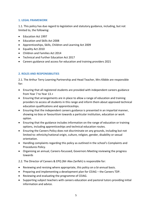## **1. LEGAL FRAMEWORK**

1.1. This policy has due regard to legislation and statutory guidance, including, but not limited to, the following:

- Education Act 1997
- Education and Skills Act 2008
- Apprenticeships, Skills, Children and Learning Act 2009
- Equality Act 2010
- Children and Families Act 2014
- Technical and Further Education Act 2017
- Careers guidance and access for education and training providers 2021

# **2. ROLES AND RESPONSIBILITIES**

2.1. The Arthur Terry Learning Partnership and Head Teacher, Mrs Kibble are responsible for:

- Ensuring that all registered students are provided with independent careers guidance from Year 7 to Year 13.+
- Ensuring that arrangements are in place to allow a range of education and training providers to access all students in this range and inform them about approved technical education qualifications and apprenticeships.
- Ensuring that the independent careers guidance is presented in an impartial manner, showing no bias or favouritism towards a particular institution, education or work option.
- Ensuring that the guidance includes information on the range of education or training options, including apprenticeships and technical education routes.
- Ensuring the Careers Policy does not discriminate on any grounds, including but not limited to: ethnicity/national origin, culture, religion, gender, disability or sexual orientation.
- Handling complaints regarding this policy as outlined in the school's Complaints and Procedures Policy.
- Organising an annual, Careers-focussed, Governors Meeting reviewing the progress towards

2.2. The Director of Careers & EPQ (Mr Alex Zarifeh) is responsible for:

- Reviewing and revising where appropriate, this policy on a bi-annual basis.
- Preparing and implementing a development plan for CEIAG the Careers TDP.
- Reviewing and evaluating the programme of CEIAG.
- Supporting subject teachers with careers education and pastoral tutors providing initial information and advice.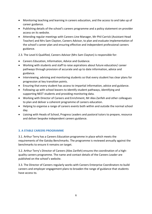- Monitoring teaching and learning in careers education, and the access to and take up of career guidance.
- Publishing details of the school's careers programme and a policy statement on provider access on its website.
- Attending regular meetings with Careers Line Manager, Mr Phil Carrick (Assistant Head Teacher) and Mrs Sam Clayton, Careers Advisor, to plan and evaluate implementation of the school's career plan and ensuring effective and independent professional careers guidance.

2.3. The Level 6 Qualified, Careers Advisor (Mrs Sam Clayton) is responsible for:

- Careers Education, Information, Advice and Guidance.
- Working with students and staff to raise aspirations about future education/ career pathways through provision of accurate and up to date information, advice and guidance.
- Interviewing, advising and monitoring students so that every student has clear plans for progression at key transition points.
- Ensuring that every student has access to impartial information, advice and guidance.
- Following up with school leavers to identify student pathways, identifying and supporting NEET students and providing monitoring data.
- Working with Director of Careers and Enrichment, Mr Alex Zarifeh and other colleagues to plan and deliver a coherent programme of careers education.
- Helping to organise a range of careers events both within and outside the normal school day.
- Liaising with Heads of School, Progress Leaders and pastoral tutors to prepare, resource and deliver bespoke independent careers guidance.

# **3. A STABLE CAREERS PROGRAMME**

3.1. Arthur Terry has a Careers Education programme in place which meets the requirements of the Gatsby Benchmarks. The programme is reviewed annually against the benchmarks to ensure it remains on target.

3.2. Arthur Terry's Director of Careers (Alex Zarifeh) ensures the coordination of a highquality careers programme. The name and contact details of the Careers Leader are published on the school's website.

3.3. The Director of Careers regularly works with Careers Enterprise Coordinators to build careers and employer engagement plans to broaden the range of guidance that students have access to.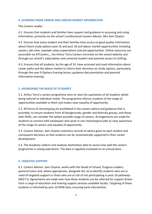#### **4. LEARNING FROM CAREER AND LABOUR MARKET INFORMATION**

The Careers Leader:

4.1. Ensures that students and families have support and guidance in accessing and using information, primarily via the school's professional Careers Advisor, Mrs Sam Clayton.

4.2. Ensures that every student and their families have access to good quality information about future study options post 16 and post 18 and labour market opportunities including careers, job roles, example salary expectations and job opportunities. Online resources are accessible via ATCareers, the Arthur Terry Careers microsite on the school website and through our school's subscription and universal student and parental access to Unifrog.

4.3. Ensures that all students, by the age of 14, have accessed and used information about career paths and the labour market to inform their decisions on study options, particularly through the year 9 Options Evening lesson, guidance documentation and parental information evening.

#### **5. ADDRESSING THE NEEDS OF STUDENTS**

5.1. Arthur Terry's careers programme aims to raise the aspirations of all students whilst being tailored to individual needs. The programme informs students of the range of opportunities available to them and makes clear equality of opportunity.

5.2. All forms of stereotyping are prohibited in the careers advice and guidance that is provided, to ensure students from all backgrounds, gender and diversity groups, and those with SEND, can consider the widest possible range of careers. Arrangements are made for students to connect with employees who work in non-stereotypical jobs to raise awareness of the range of careers and equality of opportunity.

5.3. Careers Advisor, Sam Clayton maintains records of advice given to each student and consequent decisions so that students can be systematically supported in their career development.

5.4. The Academy collects and analyses destination data to assess how well the careers programme is raising aspirations. The data is regularly reviewed on an annual basis.

#### **6. TARGETED SUPPORT**

6.1. Careers Advisor, Sam Clayton, works with the Heads of School, Progress Leaders, pastoral tutors and, where appropriate, alongside the LA to identify students who are in need of targeted support or those who are at risk of not participating in post-16 pathways (NEET's). Agreements are made over how these students can be referred for support drawn from a range of education and training support services available locally. Targeting of these students is informed by year 10 RONI data, ensuring early intervention.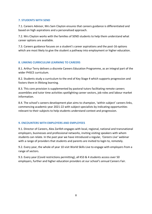## **7. STUDENTS WITH SEND**

7.1. Careers Advisor, Mrs Sam Clayton ensures that careers guidance is differentiated and based on high aspirations and a personalised approach.

7.2. Mrs Clayton works with the families of SEND students to help them understand what career options are available.

7.3. Careers guidance focuses on a student's career aspirations and the post-16 options which are most likely to give the student a pathway into employment or higher education.

# **8. LINKING CURRICULUM LEARNING TO CAREERS**

8.1. Arthur Terry delivers a discrete Careers Education Programme, as an integral part of the wider PHSCE curriculum.

8.2. Students study a curriculum to the end of Key Stage 4 which supports progression and fosters them in lifelong learning.

8.3. This core provision is supplemented by pastoral tutors facilitating remote careers assemblies and tutor time activities spotlighting career sectors, job roles and labour market information.

8.4. The school's careers development plan aims to champion, 'within subject' careers links, commencing academic year 2021-22 with subject specialists by indicating opportunities relevant to their subjects to help students understand context and progression.

# **9. ENCOUNTERS WITH EMPLOYERS AND EMPLOYEES**

9.1. Director of Careers, Alex Zarifeh engages with local, regional, national and transnational employers, businesses and professional networks, inviting visiting speakers with whom students can relate. In the past year we have introduced a regular, *'Careers Live'* webinar with a range of providers that students and parents are invited to login to, remotely.

9.2. Every year, the whole of year 10 visit World Skills Live to engage with employers from a range of sectors.

9.3. Every year (Covid restrictions permitting), all KS3 & 4 students access over 50 employers, further and higher education providers at our school's annual Careers Fair.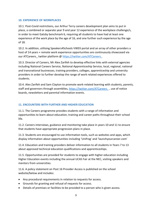## **10. EXPERIENCE OF WORKPLACES**

10.1. Post-Covid restrictions, our Arthur Terry careers development plan aims to put in place, a combined or separate year 9 and year 12 experience of the workplace challenge/s, in order to meet Gatsby benchmark 6, requiring all students to have had at least one experience of the work place by the age of 16, and one further such experience by the age of 18.

10.2. In addition, utilising Speakers4Schools VWEX portal and an array of other providers a host of 14 years + remote work experience opportunities are continuously showcased via our ATCareers twitter platform @ https://twitter.com/ATCareers

10.3. Director of Careers, Mr Alex Zarifeh to develop effective links with external agencies including National Careers Service, National Apprenticeship Service, local, regional, national and transnational businesses, training providers, colleges, apprenticeship and university providers in order to further develop the range of work related experiences offered to students.

10.4. Alex Zarifeh and Sam Clayton to promote work-related learning with students, parents, staff and governors through assemblies, https://twitter.com/ATCareers, use of notice boards, newsletters and parental information events.

# **11. ENCOUNTERS WITH FURTHER AND HIGHER EDUCATION**

11.1. The Careers programme provides students with a range of information and opportunities to learn about education, training and career paths throughout their school life.

11.2. Careers interviews, guidance and monitoring take place in years 10 and 11 to ensure that students have appropriate progression plans in place.

11.3. Students are encouraged to use information tools, such as websites and apps, which display information about opportunities including 'Unifrog' and 'launchyourcareer.com'

11.4. Education and training providers deliver information to all students in Years 7 to 13 about approved technical education qualifications and apprenticeships.

11.5. Opportunities are provided for students to engage with higher education including Higher Education events including the annual UCAS Fair at the NEC, visiting speakers and mentors from universities.

11.6. A policy statement on Post 16 Provider Access is published on the school website/below and includes:

- Any procedural requirements in relation to requests for access.
- Grounds for granting and refusal of requests for access.
- Details of premises or facilities to be provided to a person who is given access.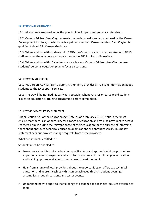## **12. PERSONAL GUIDANCE**

12.1. All students are provided with opportunities for personal guidance interviews.

12.2. Careers Advisor, Sam Clayton meets the professional standards outlined by the Career Development Institute, of which she is a paid up member. Careers Advisor, Sam Clayton is qualified to level 6 in Careers Guidance.

12.3. When working with students with SEND the Careers Leader communicates with SEND staff and uses the outcome and aspirations in the EHCP to focus discussions.

12.4. When working with LA students or care leavers, Careers Advisor, Sam Clayton uses students' personal education plan to focus discussions.

## 13. Information sharing

13.1. Via Careers Advisor, Sam Clayton, Arthur Terry provides all relevant information about students to the LA support services.

13.2. The LA will be notified, as early as is possible, whenever a 16 or 17-year-old student leaves an education or training programme before completion.

# 14. Provider Access Policy Statement

Under Section 42B of the Education Act 1997, as of 2 January 2018, Arthur Terry "must ensure that there is an opportunity for a range of education and training providers to access registered pupils during the relevant phase of their education for the purpose of informing them about approved technical education qualifications or apprenticeships". This policy statement sets out how we manage requests from these providers.

What are students entitled to?

Students must be enabled to:

- Learn more about technical education qualifications and apprenticeship opportunities, as part of a careers programme which informs students of the full range of education and training options available to them at each transition point.
- Hear from a range of local providers about the opportunities on offer, e.g. technical education and apprenticeships – this can be achieved through options evenings, assemblies, group discussions, and taster events.
- Understand how to apply to the full range of academic and technical courses available to them.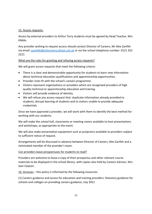#### 15. Access requests.

Access by external providers to Arthur Terry students must be agreed by Head Teacher, Mrs Kibble.

Any provider wishing to request access should contact Director of Careers, Mr Alex Zarifeh via email: [azarifeh@arthurterry.bham.sch.uk](mailto:azarifeh@arthurterry.bham.sch.uk) or via the school telephone number: 0121 323 2221

## What are the rules for granting and refusing access requests?

We will grant access requests that meet the following criteria:

- There is a clear and demonstrable opportunity for students to learn new information about technical education qualifications and apprenticeship opportunities.
- Provider visits fit with the school's careers programme.
- Visitors represent organisations or providers which are recognised providers of high quality technical or apprenticeship education and training.
- Visitors will provide evidence of identity.
- We will refuse any access request that: duplicate information already provided to students, disrupt learning of students and to visitors unable to provide adequate credentials.

Once we have approved a provider, we will work with them to identify the best method for working with our students.

We will make the school hall, classrooms or meeting rooms available to host presentations and workshops, as appropriate to the event.

We will also make presentation equipment such as projectors available to providers subject to sufficient notice of request.

Arrangements will be discussed in advance between Director of Careers, Alex Zarifeh and a nominated member of the provider's team.

# Can providers leave prospectuses for students to read?

Providers are welcome to leave a copy of their prospectus and other relevant course materials to be displayed in the school library, with copies also held by Careers Advisor, Mrs Sam Clayton.

16. Annexes – this policy is informed by the following resources:

(1) Careers guidance and access for education and training providers: Statutory guidance for schools and colleges on providing careers guidance, July 2021